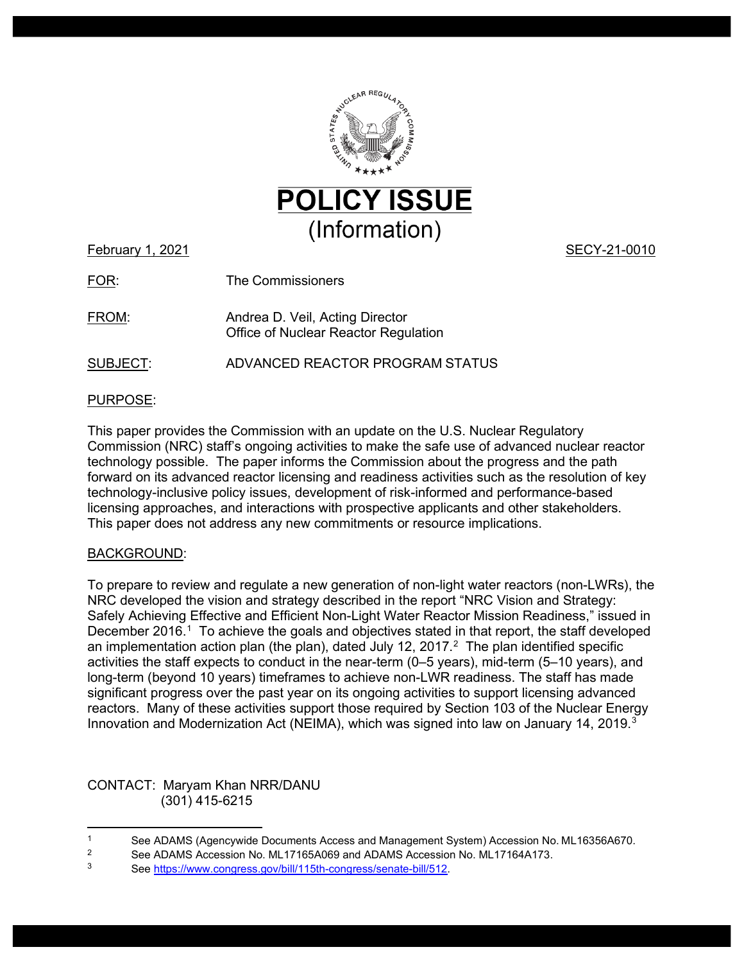

February 1, 2021 **SECY-21-0010** 

FOR: The Commissioners

FROM: Andrea D. Veil, Acting Director Office of Nuclear Reactor Regulation

SUBJECT: ADVANCED REACTOR PROGRAM STATUS

### PURPOSE:

This paper provides the Commission with an update on the U.S. Nuclear Regulatory Commission (NRC) staff's ongoing activities to make the safe use of advanced nuclear reactor technology possible. The paper informs the Commission about the progress and the path forward on its advanced reactor licensing and readiness activities such as the resolution of key technology-inclusive policy issues, development of risk-informed and performance-based licensing approaches, and interactions with prospective applicants and other stakeholders. This paper does not address any new commitments or resource implications.

### BACKGROUND:

To prepare to review and regulate a new generation of non-light water reactors (non-LWRs), the NRC developed the vision and strategy described in the report "NRC Vision and Strategy: Safely Achieving Effective and Efficient Non-Light Water Reactor Mission Readiness," issued in December 20[1](#page-0-0)6.<sup>1</sup> To achieve the goals and objectives stated in that report, the staff developed an implementation action plan (the plan), dated July 1[2](#page-0-1), 2017. $<sup>2</sup>$  The plan identified specific</sup> activities the staff expects to conduct in the near-term (0–5 years), mid-term (5–10 years), and long-term (beyond 10 years) timeframes to achieve non-LWR readiness. The staff has made significant progress over the past year on its ongoing activities to support licensing advanced reactors. Many of these activities support those required by Section 103 of the Nuclear Energy Innovation and Modernization Act (NEIMA), which was signed into law on January 14, 2019. [3](#page-0-2)

CONTACT: Maryam Khan NRR/DANU (301) 415-6215

<span id="page-0-0"></span><sup>1</sup> See ADAMS (Agencywide Documents Access and Management System) Accession No. ML16356A670.<br>2 See ADAMS Accession No. ML17165A069 and ADAMS Accession No. ML17164A173.

<span id="page-0-1"></span><sup>&</sup>lt;sup>2</sup> See ADAMS Accession No. ML17165A069 and ADAMS Accession No. ML17164A173.<br>3 See https://www.congress.gov/bill/115th.congress/senate.bill/512

<span id="page-0-2"></span><sup>3</sup> Se[e https://www.congress.gov/bill/115th-congress/senate-bill/512.](https://www.congress.gov/bill/115th-congress/senate-bill/512)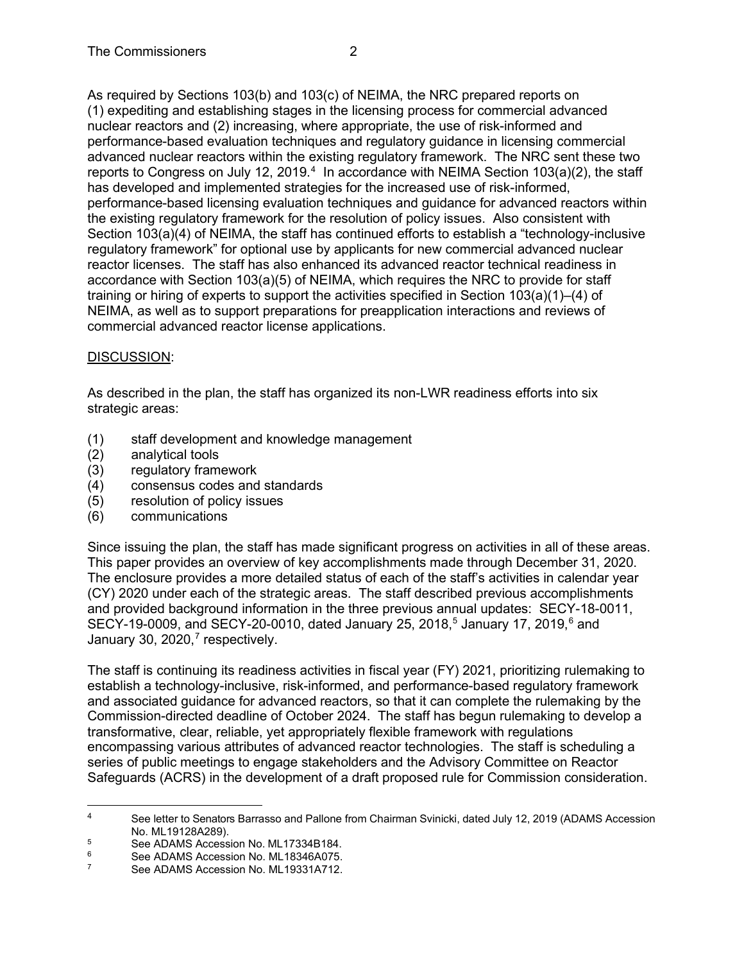As required by Sections 103(b) and 103(c) of NEIMA, the NRC prepared reports on (1) expediting and establishing stages in the licensing process for commercial advanced nuclear reactors and (2) increasing, where appropriate, the use of risk-informed and performance-based evaluation techniques and regulatory guidance in licensing commercial advanced nuclear reactors within the existing regulatory framework. The NRC sent these two reports to Congress on July 12, 2019.<sup>[4](#page-1-0)</sup> In accordance with NEIMA Section 103(a)(2), the staff has developed and implemented strategies for the increased use of risk-informed, performance-based licensing evaluation techniques and guidance for advanced reactors within the existing regulatory framework for the resolution of policy issues. Also consistent with Section 103(a)(4) of NEIMA, the staff has continued efforts to establish a "technology-inclusive regulatory framework" for optional use by applicants for new commercial advanced nuclear reactor licenses. The staff has also enhanced its advanced reactor technical readiness in accordance with Section 103(a)(5) of NEIMA, which requires the NRC to provide for staff training or hiring of experts to support the activities specified in Section 103(a)(1)–(4) of NEIMA, as well as to support preparations for preapplication interactions and reviews of commercial advanced reactor license applications.

## DISCUSSION:

As described in the plan, the staff has organized its non-LWR readiness efforts into six strategic areas:

- (1) staff development and knowledge management<br>(2) analytical tools
- analytical tools
- (3) regulatory framework
- (4) consensus codes and standards
- (5) resolution of policy issues
- (6) communications

Since issuing the plan, the staff has made significant progress on activities in all of these areas. This paper provides an overview of key accomplishments made through December 31, 2020. The enclosure provides a more detailed status of each of the staff's activities in calendar year (CY) 2020 under each of the strategic areas. The staff described previous accomplishments and provided background information in the three previous annual updates: SECY-18-0011, SECY-19-0009, and SECY-20-0010, dated January 2[5](#page-1-1), 2018,<sup>5</sup> January 17, 2019,<sup>[6](#page-1-2)</sup> and January 30, 2020, $^7$  $^7$  respectively.

The staff is continuing its readiness activities in fiscal year (FY) 2021, prioritizing rulemaking to establish a technology-inclusive, risk-informed, and performance-based regulatory framework and associated guidance for advanced reactors, so that it can complete the rulemaking by the Commission-directed deadline of October 2024. The staff has begun rulemaking to develop a transformative, clear, reliable, yet appropriately flexible framework with regulations encompassing various attributes of advanced reactor technologies. The staff is scheduling a series of public meetings to engage stakeholders and the Advisory Committee on Reactor Safeguards (ACRS) in the development of a draft proposed rule for Commission consideration.

<span id="page-1-0"></span><sup>&</sup>lt;sup>4</sup> See letter to Senators Barrasso and Pallone from Chairman Svinicki, dated July 12, 2019 (ADAMS Accession No. ML19128A289).

<span id="page-1-1"></span><sup>&</sup>lt;sup>5</sup><br>See ADAMS Accession No. ML17334B184.<br>See ADAMS Accession No. ML18346A075

<span id="page-1-2"></span><sup>&</sup>lt;sup>6</sup> See ADAMS Accession No. ML18346A075.

<span id="page-1-3"></span>See ADAMS Accession No. ML19331A712.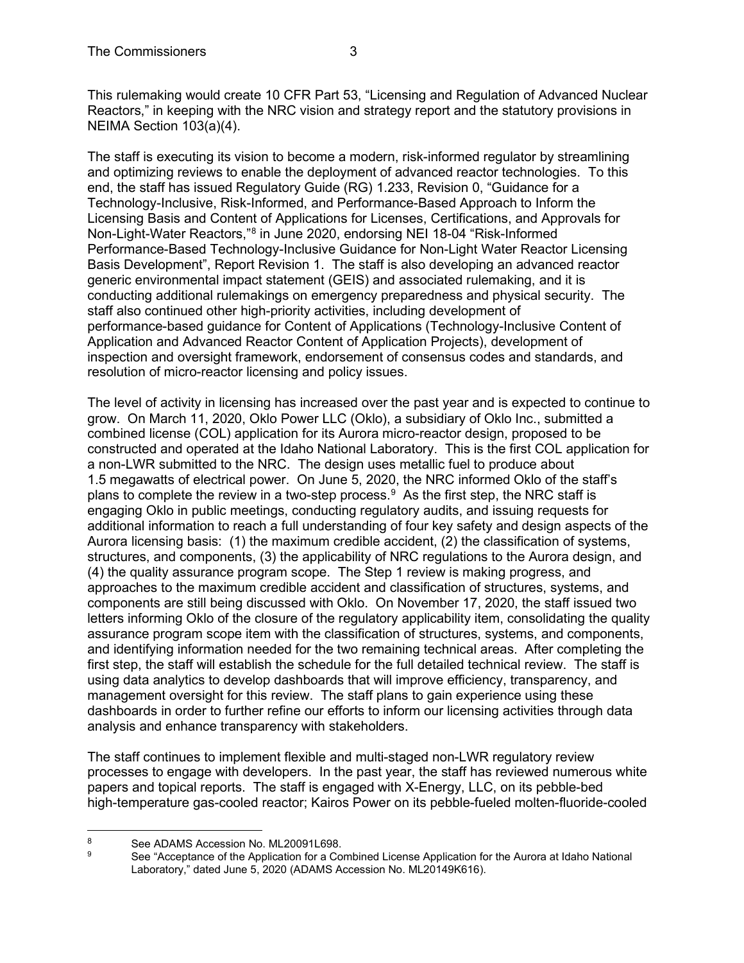This rulemaking would create 10 CFR Part 53, "Licensing and Regulation of Advanced Nuclear Reactors," in keeping with the NRC vision and strategy report and the statutory provisions in NEIMA Section 103(a)(4).

The staff is executing its vision to become a modern, risk-informed regulator by streamlining and optimizing reviews to enable the deployment of advanced reactor technologies. To this end, the staff has issued Regulatory Guide (RG) 1.233, Revision 0, "Guidance for a Technology-Inclusive, Risk-Informed, and Performance-Based Approach to Inform the Licensing Basis and Content of Applications for Licenses, Certifications, and Approvals for Non-Light-Water Reactors,"[8](#page-2-0) in June 2020, endorsing NEI 18-04 "Risk-Informed Performance-Based Technology-Inclusive Guidance for Non-Light Water Reactor Licensing Basis Development", Report Revision 1. The staff is also developing an advanced reactor generic environmental impact statement (GEIS) and associated rulemaking, and it is conducting additional rulemakings on emergency preparedness and physical security. The staff also continued other high-priority activities, including development of performance-based guidance for Content of Applications (Technology-Inclusive Content of Application and Advanced Reactor Content of Application Projects), development of inspection and oversight framework, endorsement of consensus codes and standards, and resolution of micro-reactor licensing and policy issues.

The level of activity in licensing has increased over the past year and is expected to continue to grow. On March 11, 2020, Oklo Power LLC (Oklo), a subsidiary of Oklo Inc., submitted a combined license (COL) application for its Aurora micro-reactor design, proposed to be constructed and operated at the Idaho National Laboratory. This is the first COL application for a non-LWR submitted to the NRC. The design uses metallic fuel to produce about 1.5 megawatts of electrical power. On June 5, 2020, the NRC informed Oklo of the staff's plans to complete the review in a two-step process.<sup>[9](#page-2-1)</sup> As the first step, the NRC staff is engaging Oklo in public meetings, conducting regulatory audits, and issuing requests for additional information to reach a full understanding of four key safety and design aspects of the Aurora licensing basis: (1) the maximum credible accident, (2) the classification of systems, structures, and components, (3) the applicability of NRC regulations to the Aurora design, and (4) the quality assurance program scope. The Step 1 review is making progress, and approaches to the maximum credible accident and classification of structures, systems, and components are still being discussed with Oklo. On November 17, 2020, the staff issued two letters informing Oklo of the closure of the regulatory applicability item, consolidating the quality assurance program scope item with the classification of structures, systems, and components, and identifying information needed for the two remaining technical areas. After completing the first step, the staff will establish the schedule for the full detailed technical review. The staff is using data analytics to develop dashboards that will improve efficiency, transparency, and management oversight for this review. The staff plans to gain experience using these dashboards in order to further refine our efforts to inform our licensing activities through data analysis and enhance transparency with stakeholders.

The staff continues to implement flexible and multi-staged non-LWR regulatory review processes to engage with developers. In the past year, the staff has reviewed numerous white papers and topical reports. The staff is engaged with X-Energy, LLC, on its pebble-bed high-temperature gas-cooled reactor; Kairos Power on its pebble-fueled molten-fluoride-cooled

<span id="page-2-1"></span><span id="page-2-0"></span><sup>8</sup> See ADAMS Accession No. ML20091L698.<br>8 See "Acceptance of the Application for a Co

See "Acceptance of the Application for a Combined License Application for the Aurora at Idaho National Laboratory," dated June 5, 2020 (ADAMS Accession No. ML20149K616).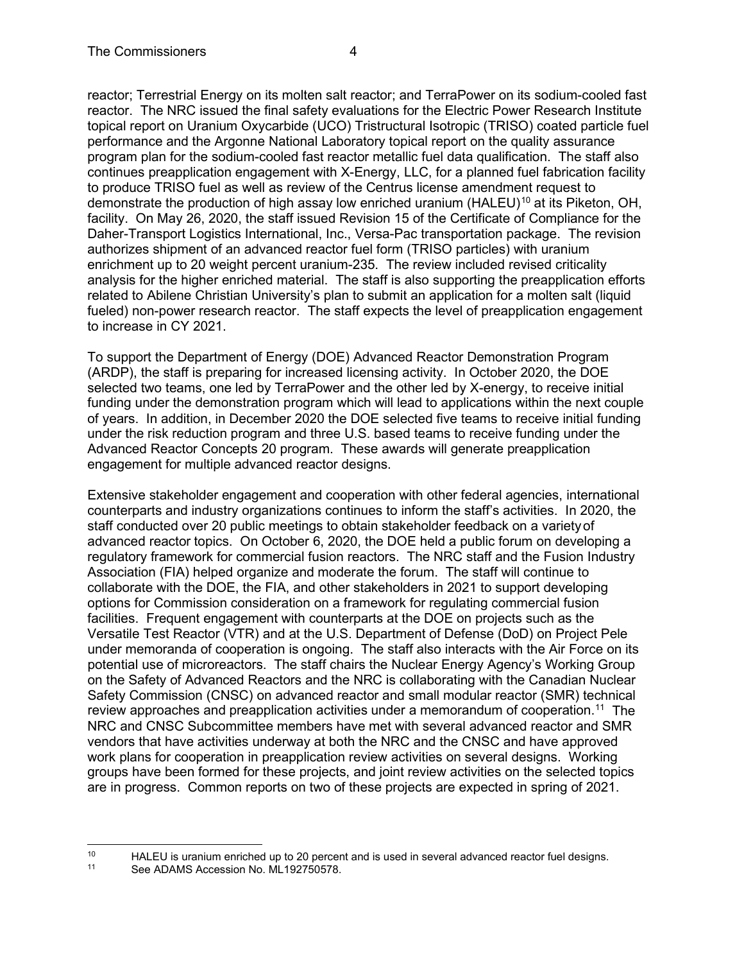reactor; Terrestrial Energy on its molten salt reactor; and TerraPower on its sodium-cooled fast reactor. The NRC issued the final safety evaluations for the Electric Power Research Institute topical report on Uranium Oxycarbide (UCO) Tristructural Isotropic (TRISO) coated particle fuel performance and the Argonne National Laboratory topical report on the quality assurance program plan for the sodium-cooled fast reactor metallic fuel data qualification. The staff also continues preapplication engagement with X-Energy, LLC, for a planned fuel fabrication facility to produce TRISO fuel as well as review of the Centrus license amendment request to demonstrate the production of high assay low enriched uranium ( $HALEU$ <sup>[10](#page-3-0)</sup> at its Piketon, OH, facility. On May 26, 2020, the staff issued Revision 15 of the Certificate of Compliance for the Daher-Transport Logistics International, Inc., Versa-Pac transportation package. The revision authorizes shipment of an advanced reactor fuel form (TRISO particles) with uranium enrichment up to 20 weight percent uranium-235. The review included revised criticality analysis for the higher enriched material. The staff is also supporting the preapplication efforts related to Abilene Christian University's plan to submit an application for a molten salt (liquid fueled) non-power research reactor. The staff expects the level of preapplication engagement to increase in CY 2021.

To support the Department of Energy (DOE) Advanced Reactor Demonstration Program (ARDP), the staff is preparing for increased licensing activity. In October 2020, the DOE selected two teams, one led by TerraPower and the other led by X-energy, to receive initial funding under the demonstration program which will lead to applications within the next couple of years. In addition, in December 2020 the DOE selected five teams to receive initial funding under the risk reduction program and three U.S. based teams to receive funding under the Advanced Reactor Concepts 20 program. These awards will generate preapplication engagement for multiple advanced reactor designs.

Extensive stakeholder engagement and cooperation with other federal agencies, international counterparts and industry organizations continues to inform the staff's activities. In 2020, the staff conducted over 20 public meetings to obtain stakeholder feedback on a varietyof advanced reactor topics. On October 6, 2020, the DOE held a public forum on developing a regulatory framework for commercial fusion reactors. The NRC staff and the Fusion Industry Association (FIA) helped organize and moderate the forum. The staff will continue to collaborate with the DOE, the FIA, and other stakeholders in 2021 to support developing options for Commission consideration on a framework for regulating commercial fusion facilities. Frequent engagement with counterparts at the DOE on projects such as the Versatile Test Reactor (VTR) and at the U.S. Department of Defense (DoD) on Project Pele under memoranda of cooperation is ongoing. The staff also interacts with the Air Force on its potential use of microreactors. The staff chairs the Nuclear Energy Agency's Working Group on the Safety of Advanced Reactors and the NRC is collaborating with the Canadian Nuclear Safety Commission (CNSC) on advanced reactor and small modular reactor (SMR) technical review approaches and preapplication activities under a memorandum of cooperation.<sup>11</sup> The NRC and CNSC Subcommittee members have met with several advanced reactor and SMR vendors that have activities underway at both the NRC and the CNSC and have approved work plans for cooperation in preapplication review activities on several designs. Working groups have been formed for these projects, and joint review activities on the selected topics are in progress. Common reports on two of these projects are expected in spring of 2021.

<span id="page-3-1"></span><span id="page-3-0"></span><sup>10</sup> HALEU is uranium enriched up to 20 percent and is used in several advanced reactor fuel designs.<br>11 See ADAMS Accession No. ML192750578

See ADAMS Accession No. ML192750578.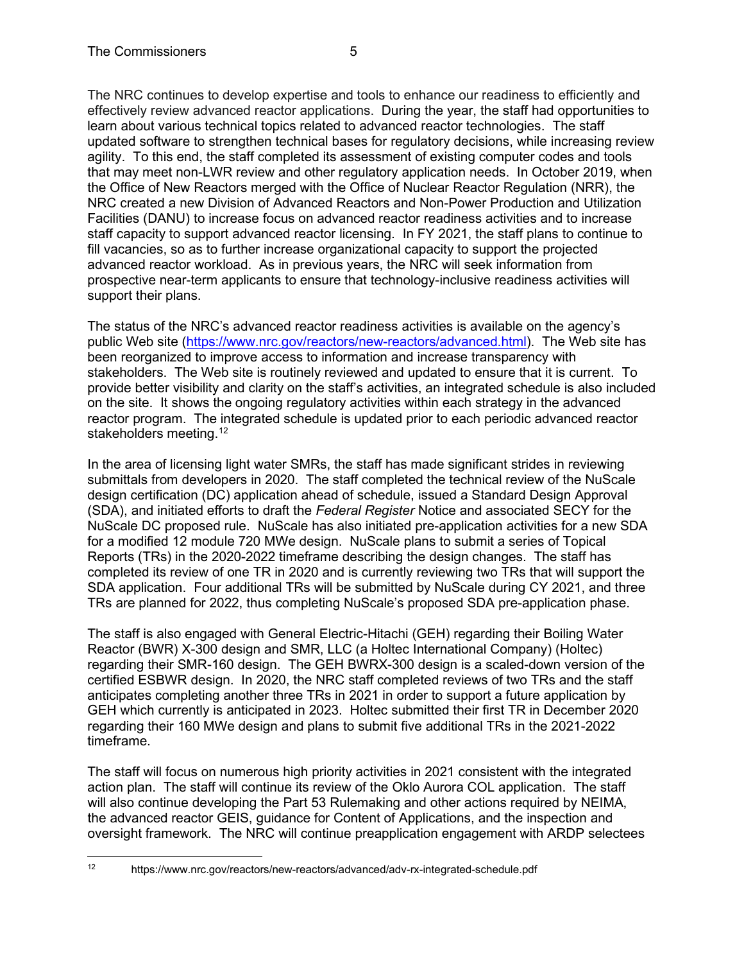support their plans.

The NRC continues to develop expertise and tools to enhance our readiness to efficiently and effectively review advanced reactor applications. During the year, the staff had opportunities to learn about various technical topics related to advanced reactor technologies. The staff updated software to strengthen technical bases for regulatory decisions, while increasing review agility. To this end, the staff completed its assessment of existing computer codes and tools that may meet non-LWR review and other regulatory application needs. In October 2019, when the Office of New Reactors merged with the Office of Nuclear Reactor Regulation (NRR), the NRC created a new Division of Advanced Reactors and Non-Power Production and Utilization Facilities (DANU) to increase focus on advanced reactor readiness activities and to increase staff capacity to support advanced reactor licensing. In FY 2021, the staff plans to continue to fill vacancies, so as to further increase organizational capacity to support the projected advanced reactor workload. As in previous years, the NRC will seek information from prospective near-term applicants to ensure that technology-inclusive readiness activities will

The status of the NRC's advanced reactor readiness activities is available on the agency's public Web site [\(https://www.nrc.gov/reactors/new-reactors/advanced.html\)](https://www.nrc.gov/reactors/new-reactors/advanced.html). The Web site has been reorganized to improve access to information and increase transparency with stakeholders. The Web site is routinely reviewed and updated to ensure that it is current. To provide better visibility and clarity on the staff's activities, an integrated schedule is also included on the site. It shows the ongoing regulatory activities within each strategy in the advanced reactor program. The integrated schedule is updated prior to each periodic advanced reactor stakeholders meeting. [12](#page-4-0)

In the area of licensing light water SMRs, the staff has made significant strides in reviewing submittals from developers in 2020. The staff completed the technical review of the NuScale design certification (DC) application ahead of schedule, issued a Standard Design Approval (SDA), and initiated efforts to draft the *Federal Register* Notice and associated SECY for the NuScale DC proposed rule. NuScale has also initiated pre-application activities for a new SDA for a modified 12 module 720 MWe design. NuScale plans to submit a series of Topical Reports (TRs) in the 2020-2022 timeframe describing the design changes. The staff has completed its review of one TR in 2020 and is currently reviewing two TRs that will support the SDA application. Four additional TRs will be submitted by NuScale during CY 2021, and three TRs are planned for 2022, thus completing NuScale's proposed SDA pre-application phase.

The staff is also engaged with General Electric-Hitachi (GEH) regarding their Boiling Water Reactor (BWR) X-300 design and SMR, LLC (a Holtec International Company) (Holtec) regarding their SMR-160 design. The GEH BWRX-300 design is a scaled-down version of the certified ESBWR design. In 2020, the NRC staff completed reviews of two TRs and the staff anticipates completing another three TRs in 2021 in order to support a future application by GEH which currently is anticipated in 2023. Holtec submitted their first TR in December 2020 regarding their 160 MWe design and plans to submit five additional TRs in the 2021-2022 timeframe.

The staff will focus on numerous high priority activities in 2021 consistent with the integrated action plan. The staff will continue its review of the Oklo Aurora COL application. The staff will also continue developing the Part 53 Rulemaking and other actions required by NEIMA, the advanced reactor GEIS, guidance for Content of Applications, and the inspection and oversight framework. The NRC will continue preapplication engagement with ARDP selectees

<span id="page-4-0"></span><sup>12</sup> https://www.nrc.gov/reactors/new-reactors/advanced/adv-rx-integrated-schedule.pdf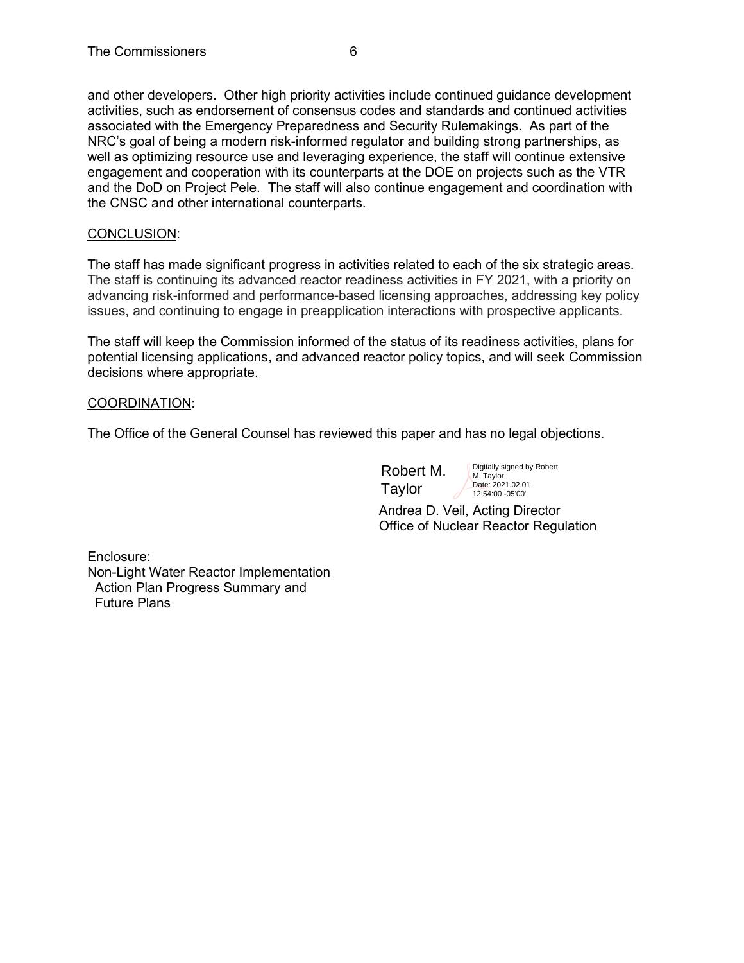and other developers. Other high priority activities include continued guidance development activities, such as endorsement of consensus codes and standards and continued activities associated with the Emergency Preparedness and Security Rulemakings. As part of the NRC's goal of being a modern risk-informed regulator and building strong partnerships, as well as optimizing resource use and leveraging experience, the staff will continue extensive engagement and cooperation with its counterparts at the DOE on projects such as the VTR and the DoD on Project Pele. The staff will also continue engagement and coordination with the CNSC and other international counterparts.

### CONCLUSION:

The staff has made significant progress in activities related to each of the six strategic areas. The staff is continuing its advanced reactor readiness activities in FY 2021, with a priority on advancing risk-informed and performance-based licensing approaches, addressing key policy issues, and continuing to engage in preapplication interactions with prospective applicants.

The staff will keep the Commission informed of the status of its readiness activities, plans for potential licensing applications, and advanced reactor policy topics, and will seek Commission decisions where appropriate.

#### COORDINATION:

The Office of the General Counsel has reviewed this paper and has no legal objections.

Robert M. Taylor

Digitally signed by Robert M. Taylor Date: 2021.02.01 12:54:00 -05'00'

Andrea D. Veil, Acting Director Office of Nuclear Reactor Regulation

Enclosure: Non-Light Water Reactor Implementation Action Plan Progress Summary and Future Plans